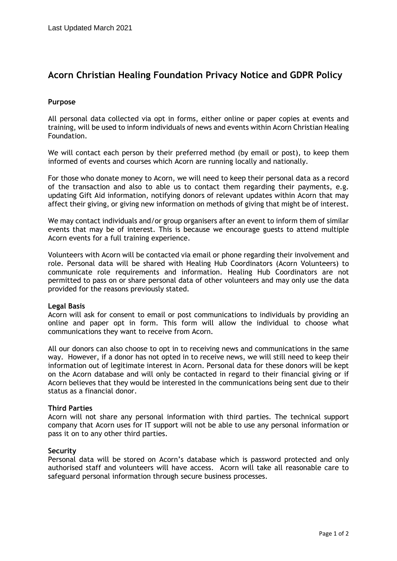# **Acorn Christian Healing Foundation Privacy Notice and GDPR Policy**

# **Purpose**

All personal data collected via opt in forms, either online or paper copies at events and training, will be used to inform individuals of news and events within Acorn Christian Healing Foundation.

We will contact each person by their preferred method (by email or post), to keep them informed of events and courses which Acorn are running locally and nationally.

For those who donate money to Acorn, we will need to keep their personal data as a record of the transaction and also to able us to contact them regarding their payments, e.g. updating Gift Aid information, notifying donors of relevant updates within Acorn that may affect their giving, or giving new information on methods of giving that might be of interest.

We may contact individuals and/or group organisers after an event to inform them of similar events that may be of interest. This is because we encourage guests to attend multiple Acorn events for a full training experience.

Volunteers with Acorn will be contacted via email or phone regarding their involvement and role. Personal data will be shared with Healing Hub Coordinators (Acorn Volunteers) to communicate role requirements and information. Healing Hub Coordinators are not permitted to pass on or share personal data of other volunteers and may only use the data provided for the reasons previously stated.

### **Legal Basis**

Acorn will ask for consent to email or post communications to individuals by providing an online and paper opt in form. This form will allow the individual to choose what communications they want to receive from Acorn.

All our donors can also choose to opt in to receiving news and communications in the same way. However, if a donor has not opted in to receive news, we will still need to keep their information out of legitimate interest in Acorn. Personal data for these donors will be kept on the Acorn database and will only be contacted in regard to their financial giving or if Acorn believes that they would be interested in the communications being sent due to their status as a financial donor.

### **Third Parties**

Acorn will not share any personal information with third parties. The technical support company that Acorn uses for IT support will not be able to use any personal information or pass it on to any other third parties.

### **Security**

Personal data will be stored on Acorn's database which is password protected and only authorised staff and volunteers will have access. Acorn will take all reasonable care to safeguard personal information through secure business processes.